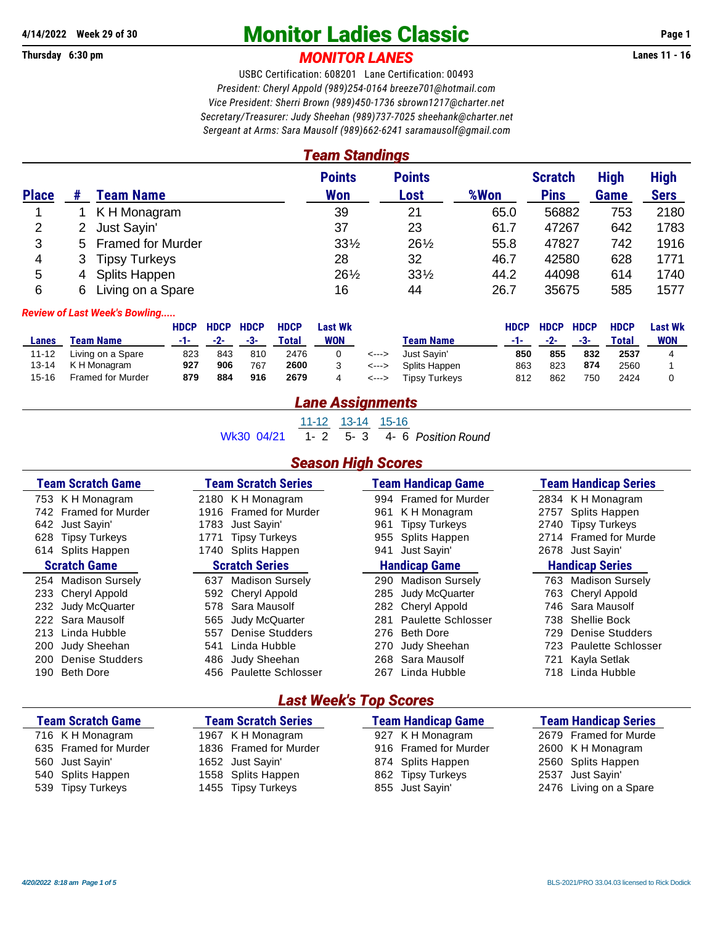# **4/14/2022 Week 29 of 30 Monitor Ladies Classic Page 1**

## **Thursday 6:30 pm** *MONITOR LANES* **Lanes 11 - 16**

USBC Certification: 608201 Lane Certification: 00493 *President: Cheryl Appold (989)254-0164 [breeze701@hotmail.com](mailto:breeze701@hotmail.com) Vice President: Sherri Brown (989)450-1736 [sbrown1217@charter.net](mailto:sbrown1217@charter.net) Secretary/Treasurer: Judy Sheehan (989)737-7025 [sheehank@charter.net](mailto:sheehank@charter.net) Sergeant at Arms: Sara Mausolf (989)662-6241 [saramausolf@gmail.com](mailto:saramausolf@gmail.com)*

*Team Standings*

|              |    |                      | <b>Points</b>   | <b>Points</b>   |      | <b>Scratch</b> | <b>High</b> | <b>High</b> |
|--------------|----|----------------------|-----------------|-----------------|------|----------------|-------------|-------------|
| <b>Place</b> |    | Team Name            | Won             | Lost            | %Won | <b>Pins</b>    | <b>Game</b> | <b>Sers</b> |
|              |    | K H Monagram         | 39              | 21              | 65.0 | 56882          | 753         | 2180        |
| 2            |    | Just Sayin'          | 37              | 23              | 61.7 | 47267          | 642         | 1783        |
| 3            |    | 5 Framed for Murder  | $33\frac{1}{2}$ | 261/2           | 55.8 | 47827          | 742         | 1916        |
| 4            | 3. | <b>Tipsy Turkeys</b> | 28              | 32              | 46.7 | 42580          | 628         | 1771        |
| 5            | 4  | <b>Splits Happen</b> | $26\frac{1}{2}$ | $33\frac{1}{2}$ | 44.2 | 44098          | 614         | 1740        |
| 6            | 6  | Living on a Spare    | 16              | 44              | 26.7 | 35675          | 585         | 1577        |

#### *Review of Last Week's Bowling.....*

|           |                          | <b>HDCP</b> | <b>HDCP</b> | <b>HDCP</b> | <b>HDCP</b> | <b>Last Wk</b> |                            |                  | <b>HDCP</b> | <b>HDCP</b> | <b>HDCP</b> | <b>HDCP</b> | <b>Last Wk</b> |
|-----------|--------------------------|-------------|-------------|-------------|-------------|----------------|----------------------------|------------------|-------------|-------------|-------------|-------------|----------------|
| Lanes     | <b>Team Name</b>         | -1-1        | $-2-$       | --3-        | Total       | <b>WON</b>     |                            | <b>Team Name</b> | -1-         | $-2-$       | $-3-$       | Total       | <b>WON</b>     |
| 11-12     | Living on a Spare        | 823         | 843         | 810         | 2476        |                | <--->                      | Just Savin'      | 850         | 855         | 832         | 2537        |                |
| 13-14     | K H Monagram             | 927         | 906         | 767         | 2600        |                | <--->                      | Splits Happen    | 863         | 823         | 874         | 2560        |                |
| $15 - 16$ | <b>Framed for Murder</b> | 879         | 884         | 916         | 2679        |                | $\leftarrow$ $\rightarrow$ | Tipsy Turkeys    | 812         | 862         | 750         | 2424        |                |

## *Lane Assignments*

11-12 13-14 15-16

Wk30 04/21 1- 2 5- 3 4- 6 *Position Round*

### *Season High Scores*

| <b>Team Scratch Game</b> | <b>Team Scratch Series</b> | <b>Team Handicap Game</b>       | <b>Team Handicap Series</b> |  |  |  |  |
|--------------------------|----------------------------|---------------------------------|-----------------------------|--|--|--|--|
| 753 K H Monagram         | 2180 K H Monagram          | <b>Framed for Murder</b><br>994 | 2834 K H Monagram           |  |  |  |  |
| 742 Framed for Murder    | <b>Framed for Murder</b>   | K H Monagram                    | Splits Happen               |  |  |  |  |
|                          | 1916                       | 961                             | 2757                        |  |  |  |  |
| 642 Just Sayin'          | Just Savin'                | <b>Tipsy Turkeys</b>            | <b>Tipsy Turkeys</b>        |  |  |  |  |
|                          | 1783                       | 961                             | 2740                        |  |  |  |  |
| <b>Tipsy Turkeys</b>     | <b>Tipsy Turkeys</b>       | Splits Happen                   | 2714 Framed for Murde       |  |  |  |  |
| 628                      | 1771                       | 955                             |                             |  |  |  |  |
| 614 Splits Happen        | 1740 Splits Happen         | Just Savin'<br>941              | 2678 Just Sayin'            |  |  |  |  |
| <b>Scratch Game</b>      | <b>Scratch Series</b>      | <b>Handicap Game</b>            | <b>Handicap Series</b>      |  |  |  |  |
| 254 Madison Sursely      | <b>Madison Sursely</b>     | <b>Madison Sursely</b>          | <b>Madison Sursely</b>      |  |  |  |  |
|                          | 637                        | 290                             | 763                         |  |  |  |  |
| 233 Cheryl Appold        | Cheryl Appold              | Judy McQuarter                  | Cheryl Appold               |  |  |  |  |
|                          | 592                        | 285                             | 763                         |  |  |  |  |
| Judy McQuarter           | Sara Mausolf               | Cheryl Appold                   | Sara Mausolf                |  |  |  |  |
| 232                      | 578                        | 282                             | 746                         |  |  |  |  |
| 222 Sara Mausolf         | Judy McQuarter             | Paulette Schlosser              | Shellie Bock                |  |  |  |  |
|                          | 565                        | 281                             | 738                         |  |  |  |  |
| Linda Hubble             | Denise Studders            | <b>Beth Dore</b>                | Denise Studders             |  |  |  |  |
| 213                      | 557                        | 276                             | 729                         |  |  |  |  |
| Judy Sheehan             | Linda Hubble               | Judy Sheehan                    | <b>Paulette Schlosser</b>   |  |  |  |  |
| 200                      | 541                        | 270                             | 723.                        |  |  |  |  |
| Denise Studders          | Judy Sheehan               | Sara Mausolf                    | Kayla Setlak                |  |  |  |  |
| 200                      | 486                        | 268                             | 721                         |  |  |  |  |
| <b>Beth Dore</b>         | <b>Paulette Schlosser</b>  | Linda Hubble                    | Linda Hubble                |  |  |  |  |
| 190.                     | 456                        | 267                             | 718                         |  |  |  |  |

## *Last Week's Top Scores*

| <b>Team Scratch Game</b> | <b>Team Scratch Series</b> | <b>Team Handicap Game</b> | <b>Team Handicap Series</b> |  |  |
|--------------------------|----------------------------|---------------------------|-----------------------------|--|--|
| 716 K H Monagram         | 1967 K H Monagram          | 927 K H Monagram          | 2679 Framed for Murde       |  |  |
| 635 Framed for Murder    | 1836 Framed for Murder     | 916 Framed for Murder     | 2600 K H Monagram           |  |  |
| 560 Just Sayin'          | 1652 Just Sayin'           | 874 Splits Happen         | 2560 Splits Happen          |  |  |
| 540 Splits Happen        | 1558 Splits Happen         | 862 Tipsy Turkeys         | 2537 Just Sayin'            |  |  |
| 539 Tipsy Turkeys        | 1455 Tipsy Turkeys         | 855 Just Sayin'           | 2476 Living on a Spare      |  |  |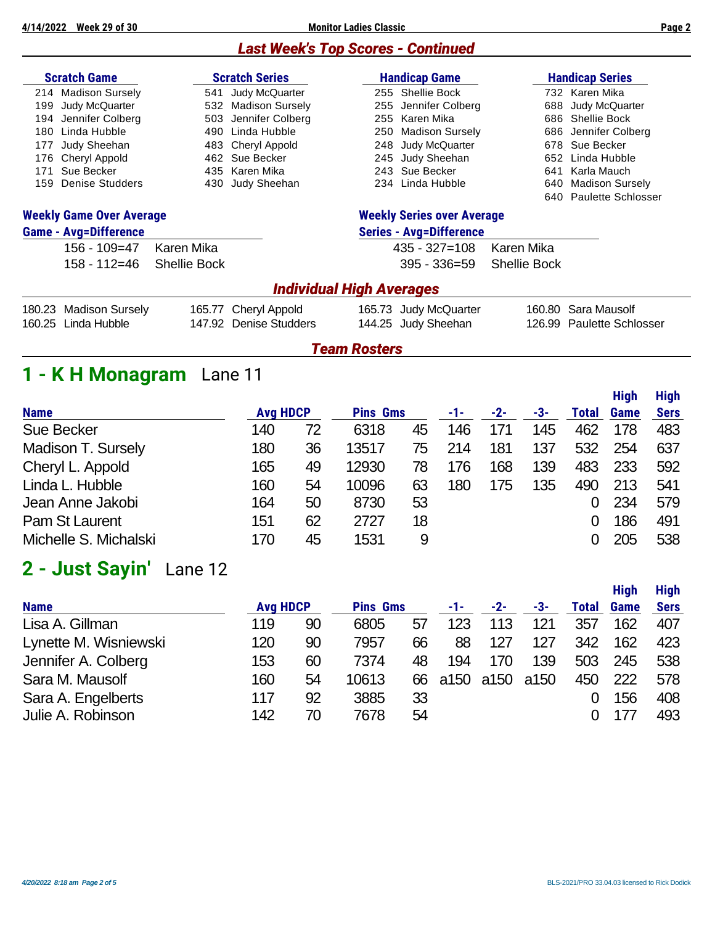**4/14/2022 Week 29 of 30 Monitor Ladies Classic Page 2**

## *Last Week's Top Scores - Continued*

| <b>Scratch Game</b>             |                              |                     | <b>Scratch Series</b>           |                                   | <b>Handicap Game</b>           |                     | <b>Handicap Series</b>    |
|---------------------------------|------------------------------|---------------------|---------------------------------|-----------------------------------|--------------------------------|---------------------|---------------------------|
| 214                             | <b>Madison Sursely</b>       | 541                 | Judy McQuarter                  |                                   | 255 Shellie Bock               |                     | 732 Karen Mika            |
| 199                             | Judy McQuarter               | 532                 | <b>Madison Sursely</b>          | 255                               | Jennifer Colberg               | 688                 | Judy McQuarter            |
| 194                             | Jennifer Colberg             | 503                 | Jennifer Colberg                | 255                               | Karen Mika                     |                     | 686 Shellie Bock          |
| 180                             | Linda Hubble                 | 490                 | Linda Hubble                    | 250                               | <b>Madison Sursely</b>         | 686                 | Jennifer Colberg          |
| 177                             | Judy Sheehan                 |                     | 483 Cheryl Appold               |                                   | 248 Judy McQuarter             |                     | 678 Sue Becker            |
| 176                             | Cheryl Appold                |                     | 462 Sue Becker                  |                                   | 245 Judy Sheehan               | 652                 | Linda Hubble              |
| 171                             | Sue Becker                   |                     | 435 Karen Mika                  |                                   | 243 Sue Becker                 | 641                 | Karla Mauch               |
| 159                             | Denise Studders              | 430                 | Judy Sheehan                    |                                   | 234 Linda Hubble               | 640                 | <b>Madison Sursely</b>    |
|                                 |                              |                     |                                 |                                   |                                |                     | 640 Paulette Schlosser    |
| <b>Weekly Game Over Average</b> |                              |                     |                                 | <b>Weekly Series over Average</b> |                                |                     |                           |
|                                 | <b>Game - Avg=Difference</b> |                     |                                 |                                   | <b>Series - Avg=Difference</b> |                     |                           |
|                                 | $156 - 109 = 47$             | Karen Mika          |                                 |                                   | $435 - 327 = 108$              | Karen Mika          |                           |
|                                 | $158 - 112 = 46$             | <b>Shellie Bock</b> |                                 |                                   | $395 - 336 = 59$               | <b>Shellie Bock</b> |                           |
|                                 |                              |                     | <b>Individual High Averages</b> |                                   |                                |                     |                           |
| 180.23                          | <b>Madison Sursely</b>       |                     | 165.77 Cheryl Appold            |                                   | 165.73 Judy McQuarter          | 160.80              | Sara Mausolf              |
| 160.25                          | Linda Hubble                 |                     | 147.92 Denise Studders          |                                   | 144.25 Judy Sheehan            | 126.99              | <b>Paulette Schlosser</b> |
|                                 |                              |                     |                                 | <b>Team Rosters</b>               |                                |                     |                           |

| <b>Name</b>           | <b>Avg HDCP</b> |    | <b>Pins Gms</b> |    | -1- | $-2-$ | -3- | Total | Game | <b>Sers</b> |
|-----------------------|-----------------|----|-----------------|----|-----|-------|-----|-------|------|-------------|
| <b>Sue Becker</b>     | 140             | 72 | 6318            | 45 | 146 | 171   | 145 | 462   | 178  | 483         |
| Madison T. Sursely    | 180             | 36 | 13517           | 75 | 214 | 181   | 137 | 532   | 254  | 637         |
| Cheryl L. Appold      | 165             | 49 | 12930           | 78 | 176 | 168   | 139 | 483   | 233  | 592         |
| Linda L. Hubble       | 160             | 54 | 10096           | 63 | 180 | 175   | 135 | 490   | 213  | 541         |
| Jean Anne Jakobi      | 164             | 50 | 8730            | 53 |     |       |     |       | 234  | 579         |
| Pam St Laurent        | 151             | 62 | 2727            | 18 |     |       |     |       | 186  | 491         |
| Michelle S. Michalski | 170             | 45 | 1531            | 9  |     |       |     |       | 205  | 538         |
|                       |                 |    |                 |    |     |       |     |       |      |             |

# **2 - Just Sayin'** Lane 12

|                       |                 |    |                 |    |      |       |      |       | <b>High</b> | <b>High</b> |
|-----------------------|-----------------|----|-----------------|----|------|-------|------|-------|-------------|-------------|
| <b>Name</b>           | <b>Avg HDCP</b> |    | <b>Pins Gms</b> |    | -1-  | $-2-$ | -3-  | Total | <b>Game</b> | <b>Sers</b> |
| Lisa A. Gillman       | 119             | 90 | 6805            | 57 | 123  | 113   | 121  | 357   | 162         | 407         |
| Lynette M. Wisniewski | 120             | 90 | 7957            | 66 | 88   | 127   | 127  | 342   | 162         | 423         |
| Jennifer A. Colberg   | 153             | 60 | 7374            | 48 | 194  | 170   | 139  | 503   | 245         | 538         |
| Sara M. Mausolf       | 160             | 54 | 10613           | 66 | a150 | a150  | a150 | 450   | 222         | 578         |
| Sara A. Engelberts    | 117             | 92 | 3885            | 33 |      |       |      |       | 156         | 408         |
| Julie A. Robinson     | 142             | 70 | 7678            | 54 |      |       |      |       | 177         | 493         |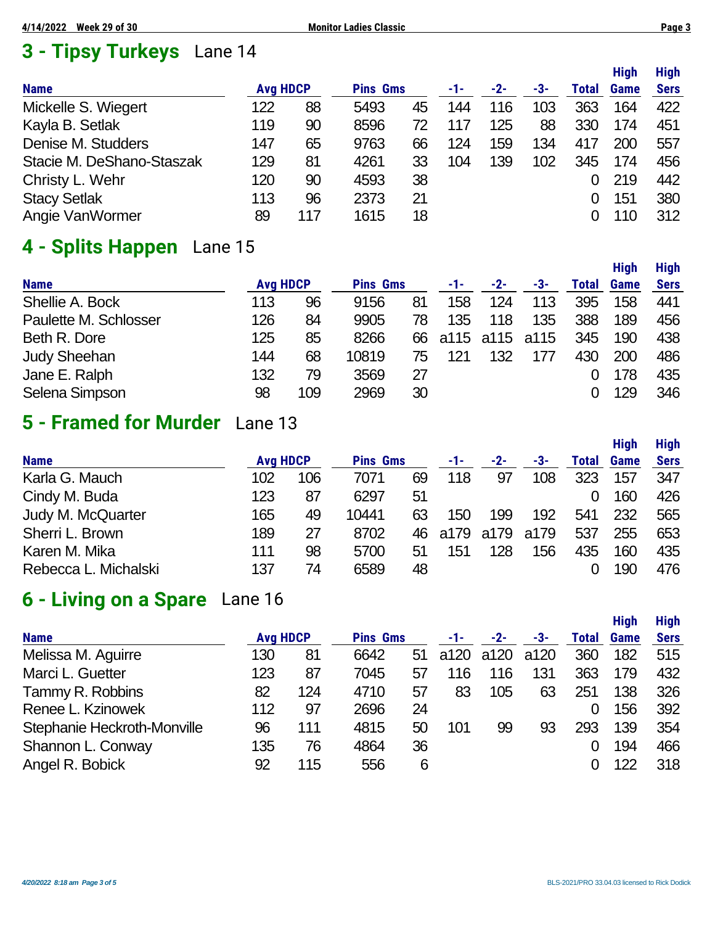# **3 - Tipsy Turkeys** Lane 14

|                           |                 |     |                 |    |     |       |     |       | <b>High</b> | <b>High</b> |
|---------------------------|-----------------|-----|-----------------|----|-----|-------|-----|-------|-------------|-------------|
| <b>Name</b>               | <b>Avg HDCP</b> |     | <b>Pins Gms</b> |    | -1- | $-2-$ | -3- | Total | <b>Game</b> | <b>Sers</b> |
| Mickelle S. Wiegert       | 122             | 88  | 5493            | 45 | 144 | 116   | 103 | 363   | 164         | 422         |
| Kayla B. Setlak           | 119             | 90  | 8596            | 72 | 117 | 125   | 88  | 330   | 174         | 451         |
| Denise M. Studders        | 147             | 65  | 9763            | 66 | 124 | 159   | 134 | 417   | 200         | 557         |
| Stacie M. DeShano-Staszak | 129             | 81  | 4261            | 33 | 104 | 139   | 102 | 345   | 174         | 456         |
| Christy L. Wehr           | 120             | 90  | 4593            | 38 |     |       |     |       | 219         | 442         |
| <b>Stacy Setlak</b>       | 113             | 96  | 2373            | 21 |     |       |     | 0     | 151         | 380         |
| Angie VanWormer           | 89              | 117 | 1615            | 18 |     |       |     |       | 110         | 312         |

## **4 - Splits Happen** Lane 15

|                       |                 |     |                 |    |     |                   |     |       | <b>High</b> | <b>High</b> |
|-----------------------|-----------------|-----|-----------------|----|-----|-------------------|-----|-------|-------------|-------------|
| <b>Name</b>           | <b>Avg HDCP</b> |     | <b>Pins Gms</b> |    | -1- | $-2-$             | -3- | Total | <b>Game</b> | <b>Sers</b> |
| Shellie A. Bock       | 113             | 96  | 9156            | 81 | 158 | 124               | 113 | 395   | 158         | 441         |
| Paulette M. Schlosser | 126             | 84  | 9905            | 78 | 135 | 118               | 135 | 388   | 189         | 456         |
| Beth R. Dore          | 125             | 85  | 8266            |    |     | 66 a115 a115 a115 |     | 345   | 190         | 438         |
| <b>Judy Sheehan</b>   | 144             | 68  | 10819           | 75 | 121 | 132               | 177 | 430   | 200         | 486         |
| Jane E. Ralph         | 132             | 79  | 3569            | 27 |     |                   |     |       | 178         | 435         |
| Selena Simpson        | 98              | 109 | 2969            | 30 |     |                   |     |       | 129         | 346         |

# **5 - Framed for Murder** Lane 13

|                      |                 |     |                 |     |      |      |      |          | <b>High</b> | <b>High</b> |
|----------------------|-----------------|-----|-----------------|-----|------|------|------|----------|-------------|-------------|
| <b>Name</b>          | <b>Avg HDCP</b> |     | <b>Pins Gms</b> |     | -1-  | -2-  | -3-  | Total    | <b>Game</b> | <b>Sers</b> |
| Karla G. Mauch       | 102             | 106 | 7071            | 69  | 118  | 97   | 108  | 323      | 157         | 347         |
| Cindy M. Buda        | 123             | 87  | 6297            | 51  |      |      |      | $\Omega$ | 160         | 426         |
| Judy M. McQuarter    | 165             | 49  | 10441           | 63  | 150  | 199  | 192  | 541      | 232         | 565         |
| Sherri L. Brown      | 189             | 27  | 8702            | 46. | a179 | a179 | a179 | 537      | 255         | 653         |
| Karen M. Mika        | 111             | 98  | 5700            | 51  | 151  | 128  | 156  | 435      | 160         | 435         |
| Rebecca L. Michalski | 137             | 74  | 6589            | 48  |      |      |      |          | 190         | 476         |

# **6 - Living on a Spare** Lane 16

|                             |                 |     |                 |    |      |      |      |       | <b>High</b> | <b>High</b> |
|-----------------------------|-----------------|-----|-----------------|----|------|------|------|-------|-------------|-------------|
| <b>Name</b>                 | <b>Avg HDCP</b> |     | <b>Pins Gms</b> |    | -1-  | -2-  | -3-  | Total | <b>Game</b> | <b>Sers</b> |
| Melissa M. Aguirre          | 130             | 81  | 6642            | 51 | a120 | a120 | a120 | 360   | 182         | 515         |
| Marci L. Guetter            | 123             | 87  | 7045            | 57 | 116  | 116  | 131  | 363   | 179         | 432         |
| Tammy R. Robbins            | 82              | 124 | 4710            | 57 | 83   | 105  | 63   | 251   | 138         | 326         |
| Renee L. Kzinowek           | 112             | 97  | 2696            | 24 |      |      |      | 0     | 156         | 392         |
| Stephanie Heckroth-Monville | 96              | 111 | 4815            | 50 | 101  | 99   | 93   | 293   | 139         | 354         |
| Shannon L. Conway           | 135             | 76  | 4864            | 36 |      |      |      |       | 194         | 466         |
| Angel R. Bobick             | 92              | 115 | 556             | 6  |      |      |      |       | 122         | 318         |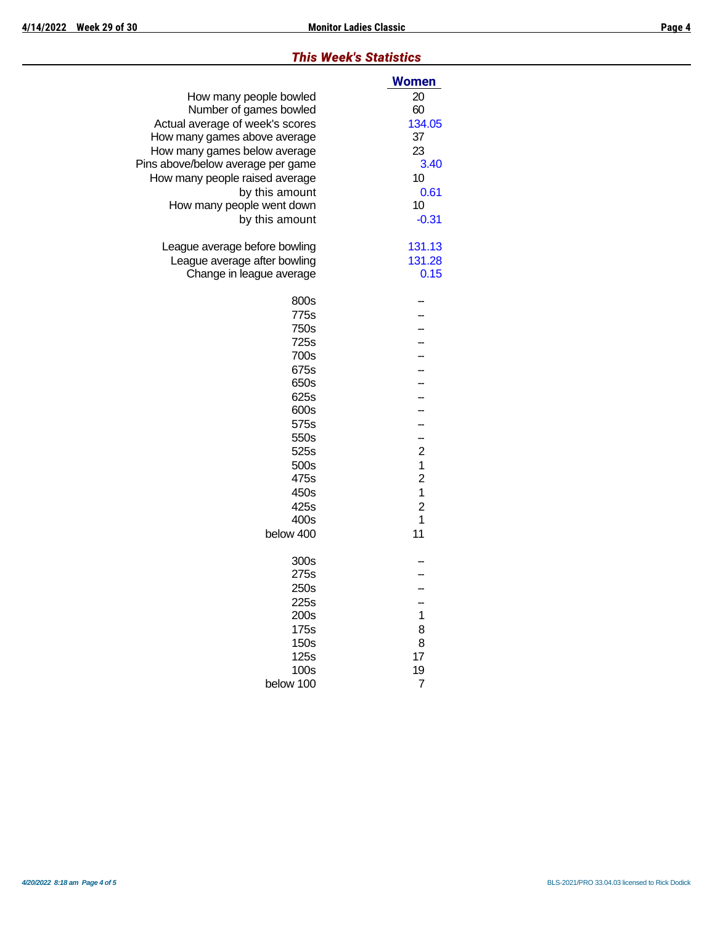## *This Week's Statistics*

|                                   | <b>Women</b>   |
|-----------------------------------|----------------|
| How many people bowled            | 20             |
| Number of games bowled            | 60             |
| Actual average of week's scores   | 134.05         |
| How many games above average      | 37             |
| How many games below average      | 23             |
| Pins above/below average per game | 3.40           |
| How many people raised average    | 10             |
| by this amount                    | 0.61           |
| How many people went down         | 10             |
| by this amount                    | $-0.31$        |
| League average before bowling     | 131.13         |
| League average after bowling      | 131.28         |
| Change in league average          | 0.15           |
| 800s                              |                |
| 775s                              |                |
| 750s                              |                |
| 725s                              |                |
| 700s                              |                |
| 675s                              |                |
| 650s                              |                |
| 625s                              |                |
| 600s                              |                |
| 575s                              |                |
| 550s                              | --             |
| 525s                              | $\overline{c}$ |
| 500s                              | 1              |
| 475s                              | $\overline{c}$ |
| 450s                              | 1              |
| 425s                              | $\overline{c}$ |
| 400s                              | 1              |
| below 400                         | 11             |
| 300s                              |                |
| 275s                              |                |
| 250s                              |                |
| 225s                              |                |
| 200s                              | 1              |
| 175s                              | 8              |
| 150s                              | 8              |
| 125s                              | 17             |
| 100s                              | 19             |
| below 100                         | 7              |